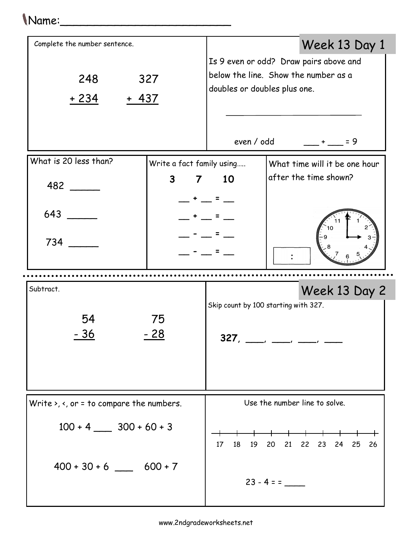## Name:\_\_\_\_\_\_\_\_\_\_\_\_\_\_\_\_\_\_\_\_\_\_\_\_\_

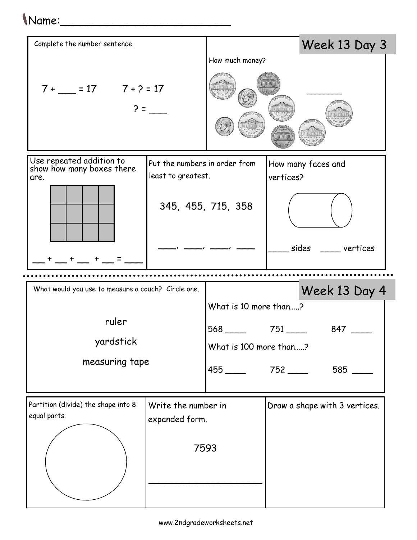| <i>Name</i> :                                                                                                        |                                       |                                                             |                                 |  |                               |  |
|----------------------------------------------------------------------------------------------------------------------|---------------------------------------|-------------------------------------------------------------|---------------------------------|--|-------------------------------|--|
| Complete the number sentence.                                                                                        |                                       |                                                             |                                 |  | Week 13 Day 3                 |  |
|                                                                                                                      |                                       | How much money?                                             |                                 |  |                               |  |
| $7 + \_ = 17$ $7 + ? = 17$<br>$2 =$                                                                                  |                                       |                                                             |                                 |  |                               |  |
| Use repeated addition to<br>show how many boxes there<br>Put the numbers in order from<br>least to greatest.<br>are. |                                       |                                                             | How many faces and<br>vertices? |  |                               |  |
|                                                                                                                      |                                       | 345, 455, 715, 358                                          |                                 |  |                               |  |
|                                                                                                                      |                                       |                                                             |                                 |  | sides _____vertices           |  |
|                                                                                                                      |                                       |                                                             |                                 |  |                               |  |
| What would you use to measure a couch? Circle one.<br>ruler<br>yardstick<br>measuring tape                           |                                       | Week 13 Day 4                                               |                                 |  |                               |  |
|                                                                                                                      |                                       | What is 10 more than?                                       |                                 |  |                               |  |
|                                                                                                                      |                                       | $568 \underline{\hspace{1cm}} 751 \underline{\hspace{1cm}}$ |                                 |  | 847 $\qquad$                  |  |
|                                                                                                                      |                                       | What is 100 more than?                                      |                                 |  |                               |  |
|                                                                                                                      |                                       | $455$ $752$ $22$                                            |                                 |  |                               |  |
| Partition (divide) the shape into 8<br>equal parts.                                                                  | Write the number in<br>expanded form. |                                                             |                                 |  | Draw a shape with 3 vertices. |  |
|                                                                                                                      |                                       | 7593                                                        |                                 |  |                               |  |
|                                                                                                                      |                                       |                                                             |                                 |  |                               |  |